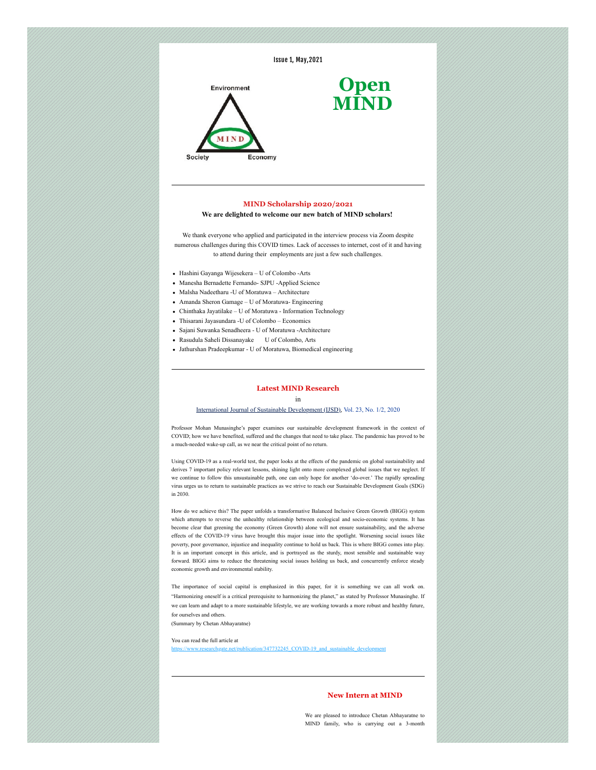

# **MIND Scholarship 2020/2021**

### **We are delighted to welcome our new batch of MIND scholars!**

We thank everyone who applied and participated in the interview process via Zoom despite numerous challenges during this COVID times. Lack of accesses to internet, cost of it and having to attend during their employments are just a few such challenges.

- Hashini Gayanga Wijesekera U of Colombo -Arts
- Manesha Bernadette Fernando- SJPU -Applied Science
- Malsha Nadeetharu -U of Moratuwa Architecture
- Amanda Sheron Gamage U of Moratuwa- Engineering
- Chinthaka Jayatilake U of Moratuwa Information Technology
- Thisarani Jayasundara -U of Colombo Economics
- Sajani Suwanka Senadheera U of Moratuwa -Architecture
- Rasudula Saheli Dissanayake U of Colombo, Arts
- Jathurshan Pradeepkumar U of Moratuwa, Biomedical engineering

### **Latest MIND Research**

#### in

## [International Journal of Sustainable Development \(IJSD\)](https://shoutout.wix.com/so/56NbBQHXT/c?w=t1XyOdfcnTZQ8_yicL4vqgvUeUksPj8LOs0iteq6RC4.eyJ1IjoiaHR0cDovL3d3dy5pbmRlcnNjaWVuY2UuY29tL2pob21lLnBocD9qY29kZT1panNkIiwiciI6ImQwNTlhMDE4LWQ4MmQtNDdiZi03NjM0LTljMjc0MjRkOTRhYiIsIm0iOiJtYWlsX2xwIiwiYyI6IjIyMTRjMzk5LTcwYmQtNDA3Ny04OGMyLWM5NGMwNWUyYjI0MyJ9), [Vol. 23, No. 1/2, 2020](https://shoutout.wix.com/so/56NbBQHXT/c?w=dxZFpQYcGr-5GCRa_lduFAi0BwacsJ-2f8QbtKx9Mfk.eyJ1IjoiaHR0cDovL3d3dy5pbmRlcnNjaWVuY2UuY29tL2luZm8vaW5hcnRpY2xldG9jLnBocD9qY29kZT1panNkJnllYXI9MjAyMCZ2b2w9MjMmaXNzdWU9MS8yIiwiciI6ImQwNTlhMDE4LWQ4MmQtNDdiZi03NjM0LTljMjc0MjRkOTRhYiIsIm0iOiJtYWlsX2xwIiwiYyI6IjIyMTRjMzk5LTcwYmQtNDA3Ny04OGMyLWM5NGMwNWUyYjI0MyJ9)

Professor Mohan Munasinghe's paper examines our sustainable development framework in the context of COVID; how we have benefited, suffered and the changes that need to take place. The pandemic has proved to be a much-needed wake-up call, as we near the critical point of no return.

Using COVID-19 as a real-world test, the paper looks at the effects of the pandemic on global sustainability and derives 7 important policy relevant lessons, shining light onto more complexed global issues that we neglect. If we continue to follow this unsustainable path, one can only hope for another 'do-over.' The rapidly spreading virus urges us to return to sustainable practices as we strive to reach our Sustainable Development Goals (SDG) in 2030.

How do we achieve this? The paper unfolds a transformative Balanced Inclusive Green Growth (BIGG) system which attempts to reverse the unhealthy relationship between ecological and socio-economic systems. It has become clear that greening the economy (Green Growth) alone will not ensure sustainability, and the adverse effects of the COVID-19 virus have brought this major issue into the spotlight. Worsening social issues like poverty, poor governance, injustice and inequality continue to hold us back. This is where BIGG comes into play. It is an important concept in this article, and is portrayed as the sturdy, most sensible and sustainable way forward. BIGG aims to reduce the threatening social issues holding us back, and concurrently enforce steady economic growth and environmental stability.

The importance of social capital is emphasized in this paper, for it is something we can all work on. "Harmonizing oneself is a critical prerequisite to harmonizing the planet," as stated by Professor Munasinghe. If we can learn and adapt to a more sustainable lifestyle, we are working towards a more robust and healthy future, for ourselves and others.

(Summary by Chetan Abhayaratne)

#### You can read the full article at ion/347732245\_COVID-19\_and\_susta

## **New Intern at MIND**

We are pleased to introduce Chetan Abhayaratne to MIND family, who is carrying out a 3-month